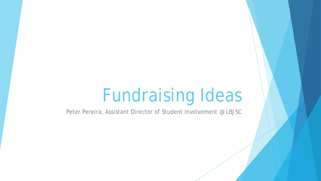# Fundraising Ideas

Peter Pereira, Assistant Director of Student Involvement @ LBJSC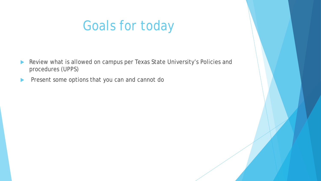# Goals for today

- Review what is allowed on campus per Texas State University's Policies and procedures (UPPS)
- **Present some options that you can and cannot do**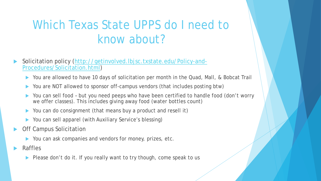# Which Texas State UPPS do I need to know about?

#### [Solicitation policy \(http://getinvolved.lbjsc.txstate.edu/Policy-and-](http://getinvolved.lbjsc.txstate.edu/Policy-and-Procedures/Solicitation.html)Procedures/Solicitation.html)

- You are allowed to have 10 days of solicitation per month in the Quad, Mall, & Bobcat Trail
- You are NOT allowed to sponsor off-campus vendors (that includes posting btw)
- You can sell food but you need peeps who have been certified to handle food (don't worry we offer classes). This includes giving away food (water bottles count)
- You can do consignment (that means buy a product and resell it)
- You can sell apparel (with Auxiliary Service's blessing)
- Off Campus Solicitation
	- You can ask companies and vendors for money, prizes, etc.
- Raffles
	- Please don't do it. If you really want to try though, come speak to us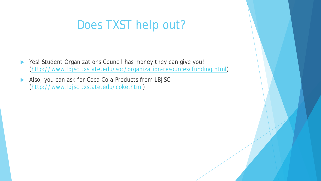## Does TXST help out?

- Yes! Student Organizations Council has money they can give you! [\(http://www.lbjsc.txstate.edu/soc/organization-resources/funding.html](http://www.lbjsc.txstate.edu/soc/organization-resources/funding.html))
- Also, you can ask for Coca Cola Products from LBJSC [\(http://www.lbjsc.txstate.edu/coke.html](http://www.lbjsc.txstate.edu/coke.html))